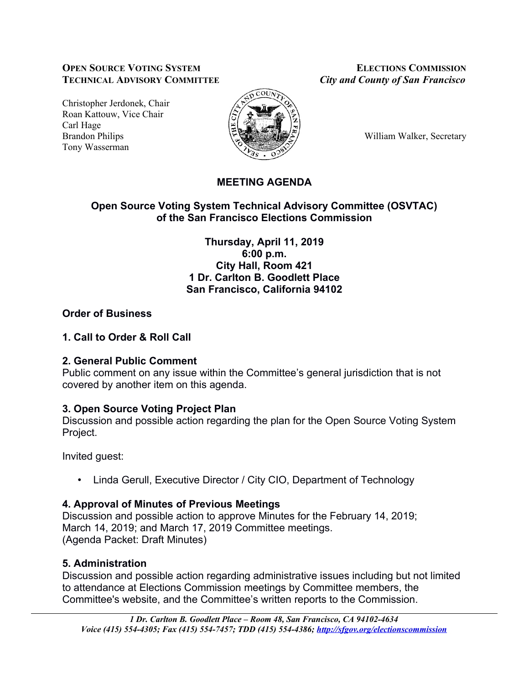### **OPEN SOURCE VOTING SYSTEM ELECTIONS COMMISSION TECHNICAL ADVISORY COMMITTEE** *City and County of San Francisco*

Christopher Jerdonek, Chair Roan Kattouw, Vice Chair Carl Hage Brandon Philips William Walker, Secretary Tony Wasserman



# **MEETING AGENDA**

### **Open Source Voting System Technical Advisory Committee (OSVTAC) of the San Francisco Elections Commission**

**Thursday, April 11, 2019 6:00 p.m. City Hall, Room 421 1 Dr. Carlton B. Goodlett Place San Francisco, California 94102**

# **Order of Business**

### **1. Call to Order & Roll Call**

### **2. General Public Comment**

Public comment on any issue within the Committee's general jurisdiction that is not covered by another item on this agenda.

# **3. Open Source Voting Project Plan**

Discussion and possible action regarding the plan for the Open Source Voting System Project.

Invited guest:

• Linda Gerull, Executive Director / City CIO, Department of Technology

# **4. Approval of Minutes of Previous Meetings**

Discussion and possible action to approve Minutes for the February 14, 2019; March 14, 2019; and March 17, 2019 Committee meetings. (Agenda Packet: Draft Minutes)

# **5. Administration**

Discussion and possible action regarding administrative issues including but not limited to attendance at Elections Commission meetings by Committee members, the Committee's website, and the Committee's written reports to the Commission.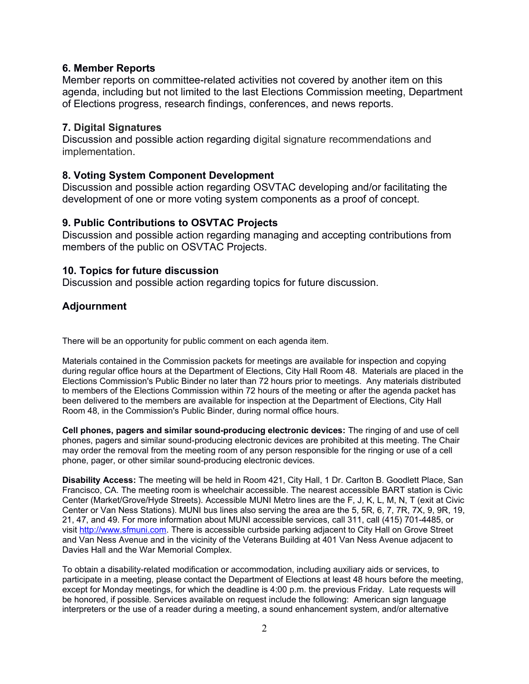#### **6. Member Reports**

Member reports on committee-related activities not covered by another item on this agenda, including but not limited to the last Elections Commission meeting, Department of Elections progress, research findings, conferences, and news reports.

#### **7. Digital Signatures**

Discussion and possible action regarding digital signature recommendations and implementation.

#### **8. Voting System Component Development**

Discussion and possible action regarding OSVTAC developing and/or facilitating the development of one or more voting system components as a proof of concept.

#### **9. Public Contributions to OSVTAC Projects**

Discussion and possible action regarding managing and accepting contributions from members of the public on OSVTAC Projects.

#### **10. Topics for future discussion**

Discussion and possible action regarding topics for future discussion.

#### **Adjournment**

There will be an opportunity for public comment on each agenda item.

Materials contained in the Commission packets for meetings are available for inspection and copying during regular office hours at the Department of Elections, City Hall Room 48. Materials are placed in the Elections Commission's Public Binder no later than 72 hours prior to meetings. Any materials distributed to members of the Elections Commission within 72 hours of the meeting or after the agenda packet has been delivered to the members are available for inspection at the Department of Elections, City Hall Room 48, in the Commission's Public Binder, during normal office hours.

**Cell phones, pagers and similar sound-producing electronic devices:** The ringing of and use of cell phones, pagers and similar sound-producing electronic devices are prohibited at this meeting. The Chair may order the removal from the meeting room of any person responsible for the ringing or use of a cell phone, pager, or other similar sound-producing electronic devices.

**Disability Access:** The meeting will be held in Room 421, City Hall, 1 Dr. Carlton B. Goodlett Place, San Francisco, CA. The meeting room is wheelchair accessible. The nearest accessible BART station is Civic Center (Market/Grove/Hyde Streets). Accessible MUNI Metro lines are the F, J, K, L, M, N, T (exit at Civic Center or Van Ness Stations). MUNI bus lines also serving the area are the 5, 5R, 6, 7, 7R, 7X, 9, 9R, 19, 21, 47, and 49. For more information about MUNI accessible services, call 311, call (415) 701-4485, or visit [http://www.sfmuni.com.](http://www.sfmuni.com/) There is accessible curbside parking adjacent to City Hall on Grove Street and Van Ness Avenue and in the vicinity of the Veterans Building at 401 Van Ness Avenue adjacent to Davies Hall and the War Memorial Complex.

To obtain a disability-related modification or accommodation, including auxiliary aids or services, to participate in a meeting, please contact the Department of Elections at least 48 hours before the meeting, except for Monday meetings, for which the deadline is 4:00 p.m. the previous Friday. Late requests will be honored, if possible. Services available on request include the following: American sign language interpreters or the use of a reader during a meeting, a sound enhancement system, and/or alternative